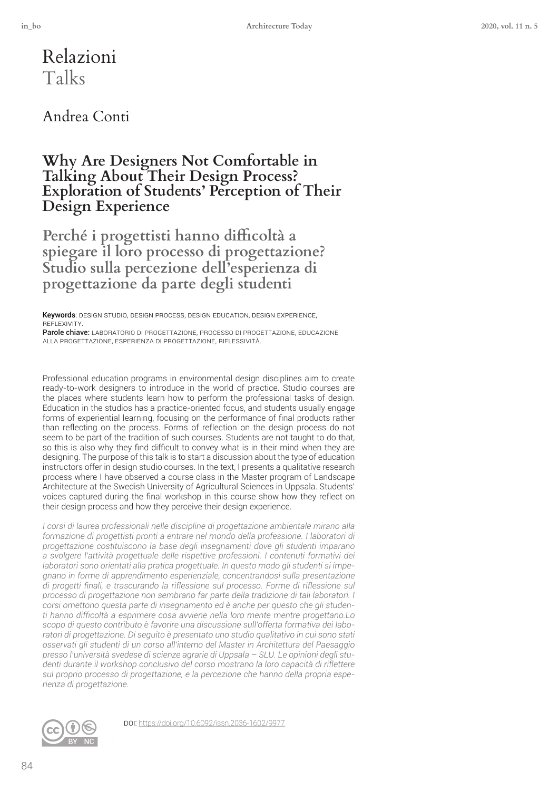Relazioni Talks

### Andrea Conti

### **Why Are Designers Not Comfortable in Talking About Their Design Process? Exploration of Students' Perception of Their Design Experience**

Perché i progettisti hanno difficoltà a **spiegare il loro processo di progettazione? Studio sulla percezione dell'esperienza di progettazione da parte degli studenti**

Keywords: DESIGN STUDIO, DESIGN PROCESS, DESIGN EDUCATION, DESIGN EXPERIENCE, reflexivity.

Parole chiave: LABORATORIO DI PROGETTAZIONE, PROCESSO DI PROGETTAZIONE, EDUCAZIONE alla proGettaZione, esperienZa Di proGettaZione, riflessività.

Professional education programs in environmental design disciplines aim to create ready-to-work designers to introduce in the world of practice. Studio courses are the places where students learn how to perform the professional tasks of design. Education in the studios has a practice-oriented focus, and students usually engage forms of experiential learning, focusing on the performance of fnal products rather than reflecting on the process. Forms of reflection on the design process do not seem to be part of the tradition of such courses. Students are not taught to do that, so this is also why they find difficult to convey what is in their mind when they are designing. The purpose of this talk is to start a discussion about the type of education instructors offer in design studio courses. In the text, I presents a qualitative research process where I have observed a course class in the Master program of Landscape Architecture at the Swedish University of Agricultural Sciences in Uppsala. Students' voices captured during the fnal workshop in this course show how they reflect on their design process and how they perceive their design experience.

*I corsi di laurea professionali nelle discipline di progettazione ambientale mirano alla formazione di progettisti pronti a entrare nel mondo della professione. I laboratori di progettazione costituiscono la base degli insegnamenti dove gli studenti imparano a svolgere l'attività progettuale delle rispettive professioni. I contenuti formativi dei laboratori sono orientati alla pratica progettuale. In questo modo gli studenti si impegnano in forme di apprendimento esperienziale, concentrandosi sulla presentazione di progetti fnali, e trascurando la riflessione sul processo. Forme di riflessione sul processo di progettazione non sembrano far parte della tradizione di tali laboratori. I corsi omettono questa parte di insegnamento ed è anche per questo che gli studenti hanno diffcoltà a esprimere cosa avviene nella loro mente mentre progettano.Lo scopo di questo contributo è favorire una discussione sull'offerta formativa dei laboratori di progettazione. Di seguito è presentato uno studio qualitativo in cui sono stati osservati gli studenti di un corso all'interno del Master in Architettura del Paesaggio presso l'università svedese di scienze agrarie di Uppsala* – *SLU. Le opinioni degli studenti durante il workshop conclusivo del corso mostrano la loro capacità di riflettere sul proprio processo di progettazione, e la percezione che hanno della propria esperienza di progettazione.*



Doi: <https://doi.org/10.6092/issn.2036-1602/9977>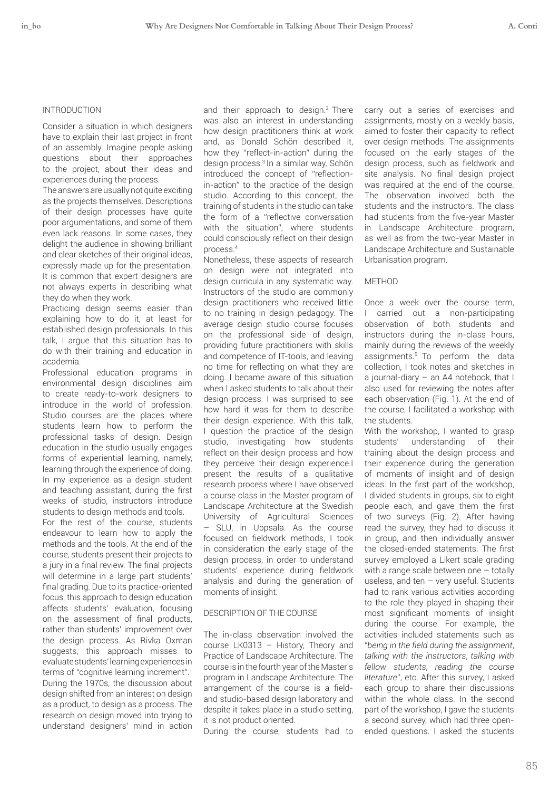#### INTRODUCTION

Consider a situation in which designers have to explain their last project in front of an assembly. Imagine people asking questions about their approaches to the project, about their ideas and experiences during the process.

The answers are usually not quite exciting as the projects themselves. Descriptions of their design processes have quite poor argumentations, and some of them even lack reasons. In some cases, they delight the audience in showing brilliant and clear sketches of their original ideas, expressly made up for the presentation. It is common that expert designers are not always experts in describing what they do when they work.

Practicing design seems easier than explaining how to do it, at least for established design professionals. In this talk, I argue that this situation has to do with their training and education in academia.

Professional education programs in environmental design disciplines aim to create ready-to-work designers to introduce in the world of profession. Studio courses are the places where students learn how to perform the professional tasks of design. Design education in the studio usually engages forms of experiential learning, namely, learning through the experience of doing. In my experience as a design student and teaching assistant, during the frst weeks of studio, instructors introduce students to design methods and tools.

For the rest of the course, students endeavour to learn how to apply the methods and the tools. At the end of the course, students present their projects to a jury in a fnal review. The fnal projects will determine in a large part students' fnal grading. Due to its practice-oriented focus, this approach to design education affects students' evaluation, focusing on the assessment of fnal products, rather than students' improvement over the design process. As Rivka Oxman suggests, this approach misses to evaluate students' learning experiences in terms of "cognitive learning increment".<sup>1</sup> During the 1970s, the discussion about design shifted from an interest on design as a product, to design as a process. The research on design moved into trying to understand designers' mind in action and their approach to design.<sup>2</sup> There was also an interest in understanding how design practitioners think at work and, as Donald Schön described it, how they "reflect-in-action" during the design process.3 In a similar way, Schön introduced the concept of "reflectionin-action" to the practice of the design studio. According to this concept, the training of students in the studio can take the form of a "reflective conversation with the situation", where students could consciously reflect on their design process.<sup>4</sup>

Nonetheless, these aspects of research on design were not integrated into design curricula in any systematic way. Instructors of the studio are commonly design practitioners who received little to no training in design pedagogy. The average design studio course focuses on the professional side of design, providing future practitioners with skills and competence of IT-tools, and leaving no time for reflecting on what they are doing. I became aware of this situation when I asked students to talk about their design process. I was surprised to see how hard it was for them to describe their design experience. With this talk, I question the practice of the design studio, investigating how students reflect on their design process and how they perceive their design experience.I present the results of a qualitative research process where I have observed a course class in the Master program of Landscape Architecture at the Swedish University of Agricultural Sciences – SLU, in Uppsala. As the course focused on feldwork methods, I took in consideration the early stage of the design process, in order to understand students' experience during feldwork analysis and during the generation of moments of insight.

#### DESCRIPTION OF THE COURSE

The in-class observation involved the course LK0313 – History, Theory and Practice of Landscape Architecture. The course is in the fourth year of the Master's program in Landscape Architecture. The arrangement of the course is a fieldand studio-based design laboratory and despite it takes place in a studio setting, it is not product oriented.

During the course, students had to

carry out a series of exercises and assignments, mostly on a weekly basis, aimed to foster their capacity to reflect over design methods. The assignments focused on the early stages of the design process, such as feldwork and site analysis. No final design project was required at the end of the course. The observation involved both the students and the instructors. The class had students from the fve-year Master in Landscape Architecture program, as well as from the two-year Master in Landscape Architecture and Sustainable Urbanisation program.

#### METHOD

Once a week over the course term, I carried out a non-participating observation of both students and instructors during the in-class hours, mainly during the reviews of the weekly assignments.5 To perform the data collection, I took notes and sketches in a journal-diary – an A4 notebook, that I also used for reviewing the notes after each observation (Fig. 1). At the end of the course, I facilitated a workshop with the students.

With the workshop, I wanted to grasp students' understanding of their training about the design process and their experience during the generation of moments of insight and of design ideas. In the frst part of the workshop, I divided students in groups, six to eight people each, and gave them the frst of two surveys (Fig. 2). After having read the survey, they had to discuss it in group, and then individually answer the closed-ended statements. The frst survey employed a Likert scale grading with a range scale between one – totally useless, and ten – very useful. Students had to rank various activities according to the role they played in shaping their most signifcant moments of insight during the course. For example, the activities included statements such as "*being in the feld during the assignment*, *talking with the instructors*, *talking with fellow students*, *reading the course literature*", etc. After this survey, I asked each group to share their discussions within the whole class. In the second part of the workshop, I gave the students a second survey, which had three openended questions. I asked the students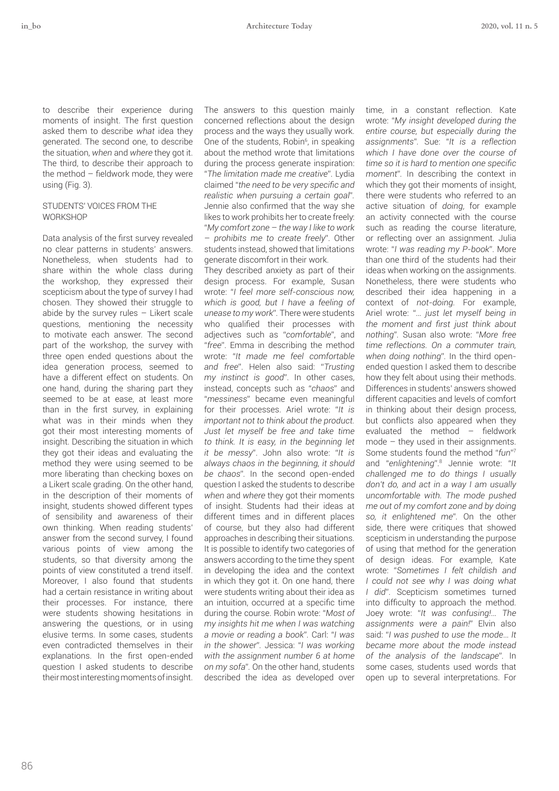to describe their experience during moments of insight. The first question asked them to describe *what* idea they generated. The second one, to describe the situation, *when* and *where* they got it. The third, to describe their approach to the method  $-$  fieldwork mode, they were using (Fig. 3).

#### STUDENTS' VOICES FROM THE **WORKSHOP**

Data analysis of the frst survey revealed no clear patterns in students' answers. Nonetheless, when students had to share within the whole class during the workshop, they expressed their scepticism about the type of survey I had chosen. They showed their struggle to abide by the survey rules  $-$  Likert scale questions, mentioning the necessity to motivate each answer. The second part of the workshop, the survey with three open ended questions about the idea generation process, seemed to have a different effect on students. On one hand, during the sharing part they seemed to be at ease, at least more than in the frst survey, in explaining what was in their minds when they got their most interesting moments of insight. Describing the situation in which they got their ideas and evaluating the method they were using seemed to be more liberating than checking boxes on a Likert scale grading. On the other hand, in the description of their moments of insight, students showed different types of sensibility and awareness of their own thinking. When reading students' answer from the second survey, I found various points of view among the students, so that diversity among the points of view constituted a trend itself. Moreover, I also found that students had a certain resistance in writing about their processes. For instance, there were students showing hesitations in answering the questions, or in using elusive terms. In some cases, students even contradicted themselves in their explanations. In the first open-ended question I asked students to describe their most interesting moments of insight. The answers to this question mainly concerned reflections about the design process and the ways they usually work. One of the students, Robin<sup>6</sup>, in speaking about the method wrote that limitations during the process generate inspiration: "*The limitation made me creative*". Lydia claimed "*the need to be very specifc and realistic when pursuing a certain goal*"*.* Jennie also confrmed that the way she likes to work prohibits her to create freely: "*My comfort zone* – *the way I like to work* 

– *prohibits me to create freely*". Other students instead, showed that limitations generate discomfort in their work.

They described anxiety as part of their design process. For example, Susan wrote: "*I feel more self-conscious now, which is good, but I have a feeling of unease to my work*"*.* There were students who qualifed their processes with adjectives such as "*comfortable*", and "*free*". Emma in describing the method wrote: "*It made me feel comfortable and free*". Helen also said: "*Trusting my instinct is good*". In other cases, instead, concepts such as "*chaos*" and "*messiness*" became even meaningful for their processes. Ariel wrote: "*It is important not to think about the product. Just let myself be free and take time to think. It is easy, in the beginning let it be messy*". John also wrote: "*It is always chaos in the beginning, it should be chaos*"*.* In the second open-ended question I asked the students to describe *when* and *where* they got their moments of insight. Students had their ideas at different times and in different places of course, but they also had different approaches in describing their situations. It is possible to identify two categories of answers according to the time they spent in developing the idea and the context in which they got it. On one hand, there were students writing about their idea as an intuition, occurred at a specifc time during the course. Robin wrote: "*Most of my insights hit me when I was watching a movie or reading a book*"*.* Carl: "*I was in the shower*"*.* Jessica: "*I was working with the assignment number 6 at home on my sofa*"*.* On the other hand, students described the idea as developed over

time, in a constant reflection. Kate wrote: "*My insight developed during the entire course, but especially during the assignments*"*.* Sue: "*It is a reflection which I have done over the course of time so it is hard to mention one specifc moment*"*.* In describing the context in which they got their moments of insight, there were students who referred to an active situation of *doing*, for example an activity connected with the course such as reading the course literature, or reflecting over an assignment. Julia wrote: "*I was reading my P-book*". More than one third of the students had their ideas when working on the assignments. Nonetheless, there were students who described their idea happening in a context of *not-doing.* For example, Ariel wrote: "… *just let myself being in the moment and frst just think about nothing*"*.* Susan also wrote: "*More free time reflections. On a commuter train, when doing nothing*"*.* In the third openended question I asked them to describe how they felt about using their methods. Differences in students' answers showed different capacities and levels of comfort in thinking about their design process, but conflicts also appeared when they evaluated the method  $-$  fieldwork mode – they used in their assignments. Some students found the method "*fun*"<sup>7</sup> and "*enlightening*".<sup>8</sup> Jennie wrote: "*It challenged me to do things I usually don't do, and act in a way I am usually uncomfortable with. The mode pushed me out of my comfort zone and by doing so, it enlightened me*"*.* On the other side, there were critiques that showed scepticism in understanding the purpose of using that method for the generation of design ideas. For example, Kate wrote: "*Sometimes I felt childish and I could not see why I was doing what I did*". Scepticism sometimes turned into difficulty to approach the method. Joey wrote: "*It was confusing!*… *The assignments were a pain!*" Elvin also said: "*I was pushed to use the mode*… *It became more about the mode instead of the analysis of the landscape*"*.* In some cases, students used words that open up to several interpretations. For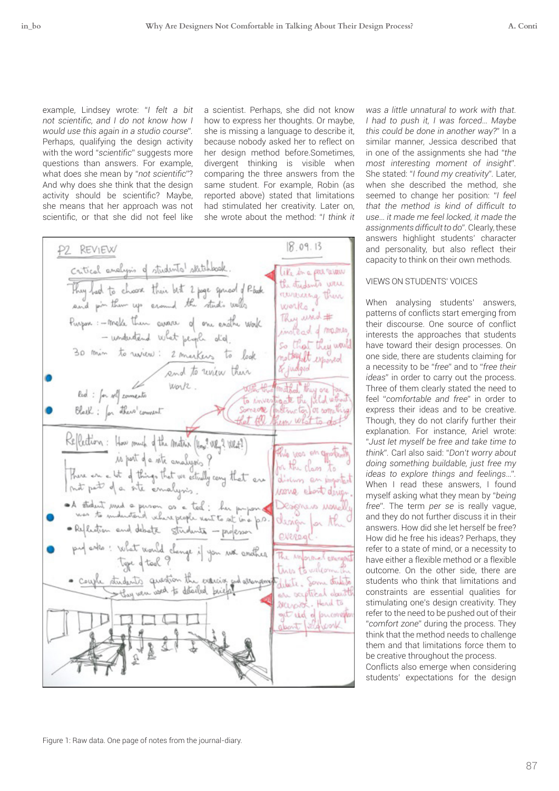example, Lindsey wrote: "*I felt a bit not scientifc, and I do not know how I would use this again in a studio course*"*.*  Perhaps, qualifying the design activity with the word "*scientifc*" suggests more questions than answers. For example, what does she mean by "*not scientifc*"? And why does she think that the design activity should be scientifc? Maybe, she means that her approach was not scientifc, or that she did not feel like

a scientist. Perhaps, she did not know how to express her thoughts. Or maybe, she is missing a language to describe it, because nobody asked her to reflect on her design method before.Sometimes, divergent thinking is visible when comparing the three answers from the same student. For example, Robin (as reported above) stated that limitations had stimulated her creativity. Later on, she wrote about the method: "*I think it* 

 $8.09.13$ P2 REVIEW Critical analysis of students' skitchbook.<br>They had to choose their bet 2 page spread of Photo.<br>and pin them up around the studio wells like in a particular the students were reviewing their works. Purpose: - make them avare of one enother work They word # instead of masses that they would 30 min to review: 2 meeters to look notheyalt exported & judged and to union their Red: for soll comments work. mithod they are To investigate the field what<br>Someone (instructor) or something Black: for there comment Reflection: How rough of the Anathin (How? URy? WRA?)<br>La pert of a rate analysis? this non on goods, There are at of things that we estually cany that are<br>mat part of a site amalysis. abolism an irong ebout d A student used a person as a ted: her proposed<br>was to enductional veloce people vent to set to a p.O.<br>• Reflection and debate students - professor Designers usure design for t evered put esto: What would change if you we enather The improvement even tures to velcome couple students question the exercise and attempting dete. Som dutite on exptrical doesn't secrats. Hend to get rid of pucones

*was a little unnatural to work with that. I had to push it, I was forced*… *Maybe this could be done in another way?*" In a similar manner, Jessica described that in one of the assignments she had "*the most interesting moment of insight*"*.* She stated: "*I found my creativity*"*.* Later, when she described the method, she seemed to change her position: "*I feel that the method is kind of diffcult to use*… *it made me feel locked, it made the assignments diffcult to do*"*.* Clearly, these answers highlight students' character and personality, but also reflect their capacity to think on their own methods.

### VIEWS ON STUDENTS' VOICES

When analysing students' answers, patterns of conflicts start emerging from their discourse. One source of conflict interests the approaches that students have toward their design processes. On one side, there are students claiming for a necessity to be "*free*" and to "*free their ideas*" in order to carry out the process. Three of them clearly stated the need to feel "*comfortable and free*" in order to express their ideas and to be creative. Though, they do not clarify further their explanation. For instance, Ariel wrote: "*Just let myself be free and take time to think*"*.* Carl also said: "*Don't worry about doing something buildable, just free my ideas to explore things and feelings*…"*.*  When I read these answers, I found myself asking what they mean by "*being free*". The term *per se* is really vague, and they do not further discuss it in their answers. How did she let herself be free? How did he free his ideas? Perhaps, they refer to a state of mind, or a necessity to have either a flexible method or a flexible outcome. On the other side, there are students who think that limitations and constraints are essential qualities for stimulating one's design creativity. They refer to the need to be pushed out of their "*comfort zone*" during the process. They think that the method needs to challenge them and that limitations force them to be creative throughout the process.

Conflicts also emerge when considering students' expectations for the design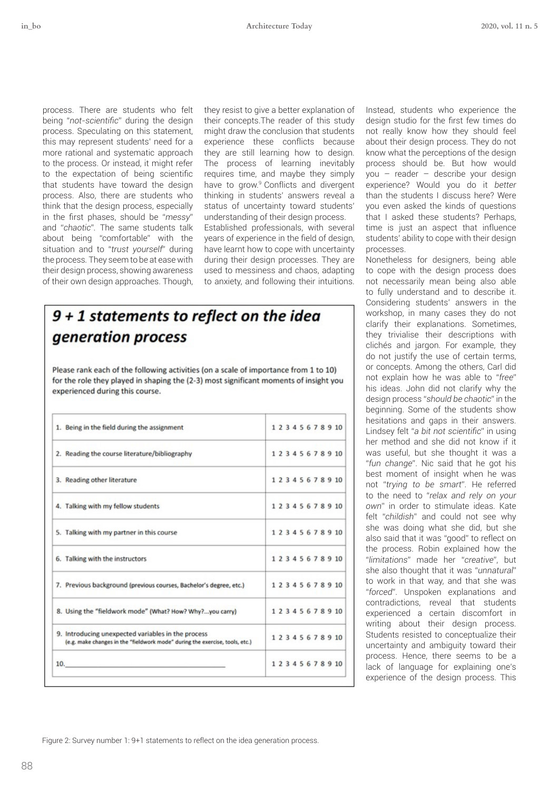process. There are students who felt being "*not-scientifc*" during the design process. Speculating on this statement, this may represent students' need for a more rational and systematic approach to the process. Or instead, it might refer to the expectation of being scientifc that students have toward the design process. Also, there are students who think that the design process, especially in the frst phases, should be "*messy*" and "*chaotic*"*.* The same students talk about being "comfortable" with the situation and to "*trust yourself*" during the process*.* They seem to be at ease with their design process, showing awareness of their own design approaches. Though,

they resist to give a better explanation of their concepts.The reader of this study might draw the conclusion that students experience these conflicts because they are still learning how to design. The process of learning inevitably requires time, and maybe they simply have to grow.<sup>9</sup> Conflicts and divergent thinking in students' answers reveal a status of uncertainty toward students' understanding of their design process.

Established professionals, with several years of experience in the feld of design, have learnt how to cope with uncertainty during their design processes. They are used to messiness and chaos, adapting to anxiety, and following their intuitions.

## $9 + 1$  statements to reflect on the idea generation process

Please rank each of the following activities (on a scale of importance from 1 to 10) for the role they played in shaping the (2-3) most significant moments of insight you experienced during this course.

| 1. Being in the field during the assignment                                                                                        |  |  |  |  | 1 2 3 4 5 6 7 8 9 10 |
|------------------------------------------------------------------------------------------------------------------------------------|--|--|--|--|----------------------|
| 2. Reading the course literature/bibliography                                                                                      |  |  |  |  | 1 2 3 4 5 6 7 8 9 10 |
| 3. Reading other literature                                                                                                        |  |  |  |  | 12345678910          |
| 4. Talking with my fellow students                                                                                                 |  |  |  |  | 1 2 3 4 5 6 7 8 9 10 |
| 5. Talking with my partner in this course                                                                                          |  |  |  |  | 1 2 3 4 5 6 7 8 9 10 |
| 6. Talking with the instructors                                                                                                    |  |  |  |  | 12345678910          |
| 7. Previous background (previous courses, Bachelor's degree, etc.)                                                                 |  |  |  |  | 1 2 3 4 5 6 7 8 9 10 |
| 8. Using the "fieldwork mode" (What? How? Why?you carry)                                                                           |  |  |  |  | 12345678910          |
| 9. Introducing unexpected variables in the process<br>(e.g. make changes in the "fieldwork mode" during the exercise, tools, etc.) |  |  |  |  | 12345678910          |
| 10.<br>and a straightful state of the state of the                                                                                 |  |  |  |  | 12345678910          |

Instead, students who experience the design studio for the frst few times do not really know how they should feel about their design process. They do not know what the perceptions of the design process should be. But how would you – reader – describe your design experience? Would you do it *better* than the students I discuss here? Were you even asked the kinds of questions that I asked these students? Perhaps, time is just an aspect that influence students' ability to cope with their design processes.

Nonetheless for designers, being able to cope with the design process does not necessarily mean being also able to fully understand and to describe it. Considering students' answers in the workshop, in many cases they do not clarify their explanations. Sometimes, they trivialise their descriptions with clichés and jargon. For example, they do not justify the use of certain terms, or concepts. Among the others, Carl did not explain how he was able to "*free*" his ideas. John did not clarify why the design process "*should be chaotic*" in the beginning. Some of the students show hesitations and gaps in their answers. Lindsey felt "*a bit not scientifc*" in using her method and she did not know if it was useful, but she thought it was a "*fun change*". Nic said that he got his best moment of insight when he was not "*trying to be smart*". He referred to the need to "*relax and rely on your own*" in order to stimulate ideas. Kate felt "*childish*" and could not see why she was doing what she did, but she also said that it was "good" to reflect on the process. Robin explained how the "*limitations*" made her "*creative*", but she also thought that it was "*unnatural*" to work in that way, and that she was "*forced*". Unspoken explanations and contradictions, reveal that students experienced a certain discomfort in writing about their design process. Students resisted to conceptualize their uncertainty and ambiguity toward their process. Hence, there seems to be a lack of language for explaining one's experience of the design process. This

Figure 2: Survey number 1: 9+1 statements to reflect on the idea generation process.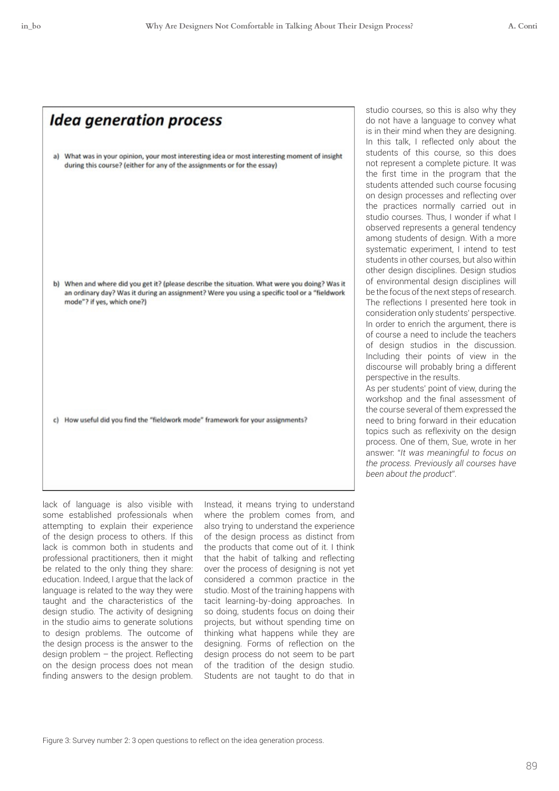| <b>Idea generation process</b>                                                                                                                                                                                              |
|-----------------------------------------------------------------------------------------------------------------------------------------------------------------------------------------------------------------------------|
| a) What was in your opinion, your most interesting idea or most interesting moment of insight<br>during this course? (either for any of the assignments or for the essay)                                                   |
| b) When and where did you get it? (please describe the situation. What were you doing? Was it<br>an ordinary day? Was it during an assignment? Were you using a specific tool or a "fieldwork<br>mode"? if yes, which one?) |
| c) How useful did you find the "fieldwork mode" framework for your assignments?                                                                                                                                             |

lack of language is also visible with some established professionals when attempting to explain their experience of the design process to others. If this lack is common both in students and professional practitioners, then it might be related to the only thing they share: education. Indeed, I argue that the lack of language is related to the way they were taught and the characteristics of the design studio. The activity of designing in the studio aims to generate solutions to design problems. The outcome of the design process is the answer to the design problem – the project. Reflecting on the design process does not mean fnding answers to the design problem. Instead, it means trying to understand where the problem comes from, and also trying to understand the experience of the design process as distinct from the products that come out of it. I think that the habit of talking and reflecting over the process of designing is not yet considered a common practice in the studio. Most of the training happens with tacit learning-by-doing approaches. In so doing, students focus on doing their projects, but without spending time on thinking what happens while they are designing. Forms of reflection on the design process do not seem to be part of the tradition of the design studio. Students are not taught to do that in studio courses, so this is also why they do not have a language to convey what is in their mind when they are designing. In this talk, I reflected only about the students of this course, so this does not represent a complete picture. It was the frst time in the program that the students attended such course focusing on design processes and reflecting over the practices normally carried out in studio courses. Thus, I wonder if what I observed represents a general tendency among students of design. With a more systematic experiment, I intend to test students in other courses, but also within other design disciplines. Design studios of environmental design disciplines will be the focus of the next steps of research. The reflections I presented here took in consideration only students' perspective. In order to enrich the argument, there is of course a need to include the teachers of design studios in the discussion. Including their points of view in the discourse will probably bring a different perspective in the results.

As per students' point of view, during the workshop and the fnal assessment of the course several of them expressed the need to bring forward in their education topics such as reflexivity on the design process. One of them, Sue, wrote in her answer: "*It was meaningful to focus on the process. Previously all courses have been about the product*"*.*